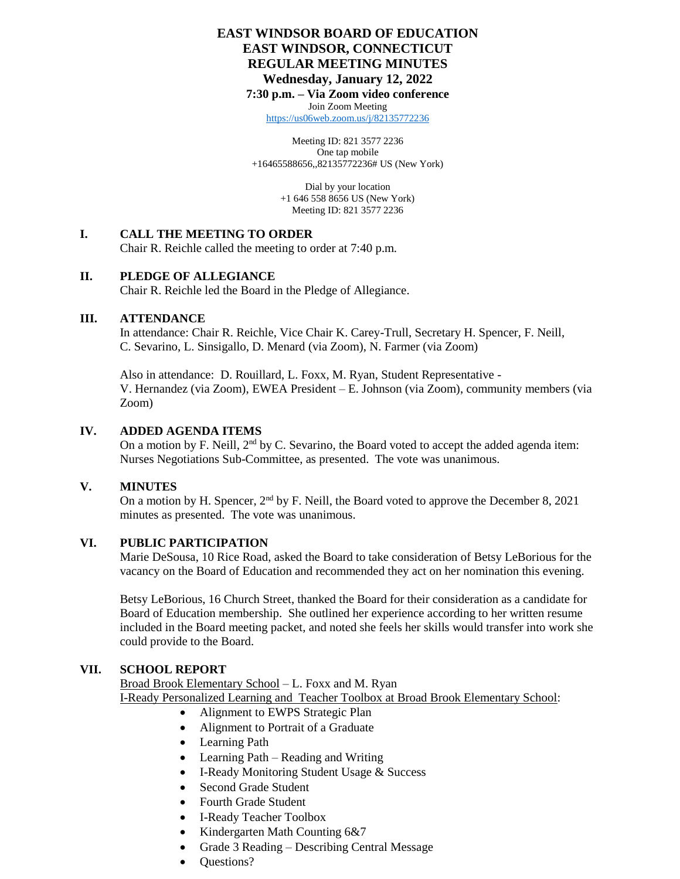## **EAST WINDSOR BOARD OF EDUCATION EAST WINDSOR, CONNECTICUT REGULAR MEETING MINUTES Wednesday, January 12, 2022**

**7:30 p.m. – Via Zoom video conference**

Join Zoom Meeting <https://us06web.zoom.us/j/82135772236>

Meeting ID: 821 3577 2236 One tap mobile +16465588656,,82135772236# US (New York)

> Dial by your location +1 646 558 8656 US (New York) Meeting ID: 821 3577 2236

#### **I. CALL THE MEETING TO ORDER**

Chair R. Reichle called the meeting to order at 7:40 p.m.

#### **II. PLEDGE OF ALLEGIANCE**

Chair R. Reichle led the Board in the Pledge of Allegiance.

#### **III. ATTENDANCE**

In attendance: Chair R. Reichle, Vice Chair K. Carey-Trull, Secretary H. Spencer, F. Neill, C. Sevarino, L. Sinsigallo, D. Menard (via Zoom), N. Farmer (via Zoom)

Also in attendance: D. Rouillard, L. Foxx, M. Ryan, Student Representative - V. Hernandez (via Zoom), EWEA President – E. Johnson (via Zoom), community members (via Zoom)

#### **IV. ADDED AGENDA ITEMS**

On a motion by F. Neill, 2<sup>nd</sup> by C. Sevarino, the Board voted to accept the added agenda item: Nurses Negotiations Sub-Committee, as presented. The vote was unanimous.

#### **V. MINUTES**

On a motion by H. Spencer,  $2<sup>nd</sup>$  by F. Neill, the Board voted to approve the December 8, 2021 minutes as presented. The vote was unanimous.

#### **VI. PUBLIC PARTICIPATION**

Marie DeSousa, 10 Rice Road, asked the Board to take consideration of Betsy LeBorious for the vacancy on the Board of Education and recommended they act on her nomination this evening.

Betsy LeBorious, 16 Church Street, thanked the Board for their consideration as a candidate for Board of Education membership. She outlined her experience according to her written resume included in the Board meeting packet, and noted she feels her skills would transfer into work she could provide to the Board.

#### **VII. SCHOOL REPORT**

Broad Brook Elementary School – L. Foxx and M. Ryan I-Ready Personalized Learning and Teacher Toolbox at Broad Brook Elementary School:

- Alignment to EWPS Strategic Plan
- Alignment to Portrait of a Graduate
- Learning Path
- Learning Path Reading and Writing
- I-Ready Monitoring Student Usage & Success
- Second Grade Student
- Fourth Grade Student
- I-Ready Teacher Toolbox
- Kindergarten Math Counting 6&7
- Grade 3 Reading Describing Central Message
- Questions?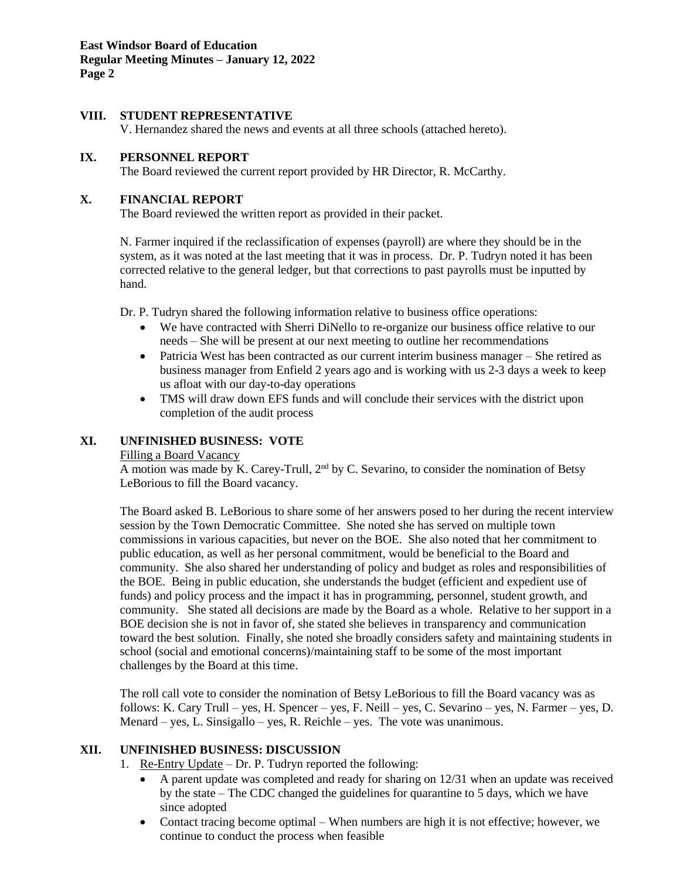### **VIII. STUDENT REPRESENTATIVE**

V. Hernandez shared the news and events at all three schools (attached hereto).

#### **IX. PERSONNEL REPORT**

The Board reviewed the current report provided by HR Director, R. McCarthy.

#### **X. FINANCIAL REPORT**

The Board reviewed the written report as provided in their packet.

N. Farmer inquired if the reclassification of expenses (payroll) are where they should be in the system, as it was noted at the last meeting that it was in process. Dr. P. Tudryn noted it has been corrected relative to the general ledger, but that corrections to past payrolls must be inputted by hand.

Dr. P. Tudryn shared the following information relative to business office operations:

- We have contracted with Sherri DiNello to re-organize our business office relative to our needs – She will be present at our next meeting to outline her recommendations
- Patricia West has been contracted as our current interim business manager She retired as business manager from Enfield 2 years ago and is working with us 2-3 days a week to keep us afloat with our day-to-day operations
- TMS will draw down EFS funds and will conclude their services with the district upon completion of the audit process

#### **XI. UNFINISHED BUSINESS: VOTE**

#### Filling a Board Vacancy

A motion was made by K. Carey-Trull, 2<sup>nd</sup> by C. Sevarino, to consider the nomination of Betsy LeBorious to fill the Board vacancy.

The Board asked B. LeBorious to share some of her answers posed to her during the recent interview session by the Town Democratic Committee. She noted she has served on multiple town commissions in various capacities, but never on the BOE. She also noted that her commitment to public education, as well as her personal commitment, would be beneficial to the Board and community. She also shared her understanding of policy and budget as roles and responsibilities of the BOE. Being in public education, she understands the budget (efficient and expedient use of funds) and policy process and the impact it has in programming, personnel, student growth, and community. She stated all decisions are made by the Board as a whole. Relative to her support in a BOE decision she is not in favor of, she stated she believes in transparency and communication toward the best solution. Finally, she noted she broadly considers safety and maintaining students in school (social and emotional concerns)/maintaining staff to be some of the most important challenges by the Board at this time.

The roll call vote to consider the nomination of Betsy LeBorious to fill the Board vacancy was as follows: K. Cary Trull – yes, H. Spencer – yes, F. Neill – yes, C. Sevarino – yes, N. Farmer – yes, D. Menard – yes, L. Sinsigallo – yes, R. Reichle – yes. The vote was unanimous.

#### **XII. UNFINISHED BUSINESS: DISCUSSION**

- 1. Re-Entry Update Dr. P. Tudryn reported the following:
	- A parent update was completed and ready for sharing on 12/31 when an update was received by the state – The CDC changed the guidelines for quarantine to 5 days, which we have since adopted
	- Contact tracing become optimal When numbers are high it is not effective; however, we continue to conduct the process when feasible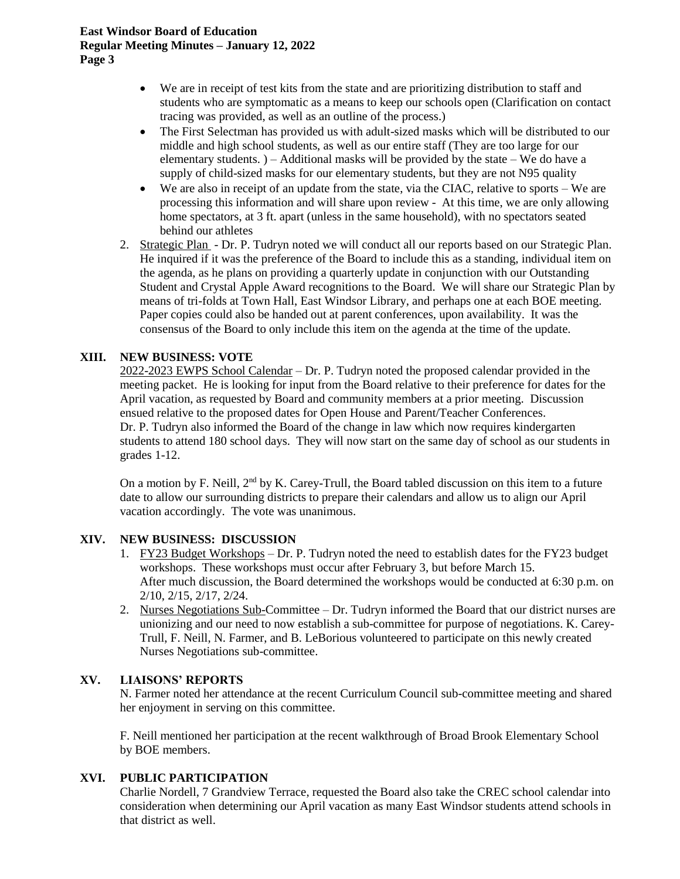#### **East Windsor Board of Education Regular Meeting Minutes – January 12, 2022 Page 3**

- We are in receipt of test kits from the state and are prioritizing distribution to staff and students who are symptomatic as a means to keep our schools open (Clarification on contact tracing was provided, as well as an outline of the process.)
- The First Selectman has provided us with adult-sized masks which will be distributed to our middle and high school students, as well as our entire staff (They are too large for our elementary students.  $)$  – Additional masks will be provided by the state – We do have a supply of child-sized masks for our elementary students, but they are not N95 quality
- We are also in receipt of an update from the state, via the CIAC, relative to sports We are processing this information and will share upon review - At this time, we are only allowing home spectators, at 3 ft. apart (unless in the same household), with no spectators seated behind our athletes
- 2. Strategic Plan Dr. P. Tudryn noted we will conduct all our reports based on our Strategic Plan. He inquired if it was the preference of the Board to include this as a standing, individual item on the agenda, as he plans on providing a quarterly update in conjunction with our Outstanding Student and Crystal Apple Award recognitions to the Board. We will share our Strategic Plan by means of tri-folds at Town Hall, East Windsor Library, and perhaps one at each BOE meeting. Paper copies could also be handed out at parent conferences, upon availability. It was the consensus of the Board to only include this item on the agenda at the time of the update.

## **XIII. NEW BUSINESS: VOTE**

2022-2023 EWPS School Calendar – Dr. P. Tudryn noted the proposed calendar provided in the meeting packet. He is looking for input from the Board relative to their preference for dates for the April vacation, as requested by Board and community members at a prior meeting. Discussion ensued relative to the proposed dates for Open House and Parent/Teacher Conferences. Dr. P. Tudryn also informed the Board of the change in law which now requires kindergarten students to attend 180 school days. They will now start on the same day of school as our students in grades 1-12.

On a motion by F. Neill, 2<sup>nd</sup> by K. Carey-Trull, the Board tabled discussion on this item to a future date to allow our surrounding districts to prepare their calendars and allow us to align our April vacation accordingly. The vote was unanimous.

## **XIV. NEW BUSINESS: DISCUSSION**

- 1. FY23 Budget Workshops Dr. P. Tudryn noted the need to establish dates for the FY23 budget workshops. These workshops must occur after February 3, but before March 15. After much discussion, the Board determined the workshops would be conducted at 6:30 p.m. on 2/10, 2/15, 2/17, 2/24.
- 2. Nurses Negotiations Sub-Committee Dr. Tudryn informed the Board that our district nurses are unionizing and our need to now establish a sub-committee for purpose of negotiations. K. Carey-Trull, F. Neill, N. Farmer, and B. LeBorious volunteered to participate on this newly created Nurses Negotiations sub-committee.

## **XV. LIAISONS' REPORTS**

N. Farmer noted her attendance at the recent Curriculum Council sub-committee meeting and shared her enjoyment in serving on this committee.

F. Neill mentioned her participation at the recent walkthrough of Broad Brook Elementary School by BOE members.

## **XVI. PUBLIC PARTICIPATION**

Charlie Nordell, 7 Grandview Terrace, requested the Board also take the CREC school calendar into consideration when determining our April vacation as many East Windsor students attend schools in that district as well.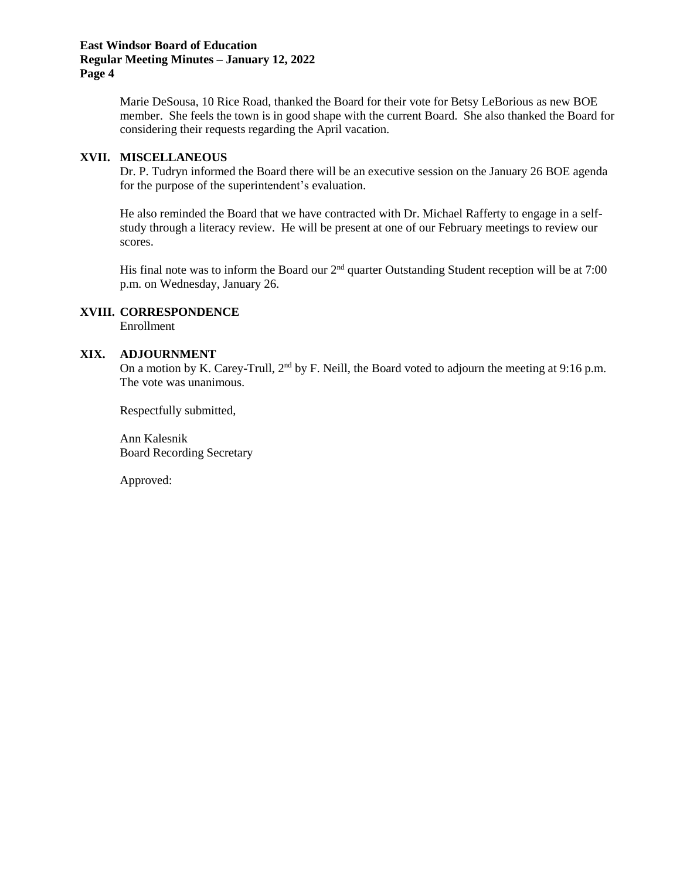#### **East Windsor Board of Education Regular Meeting Minutes – January 12, 2022 Page 4**

Marie DeSousa, 10 Rice Road, thanked the Board for their vote for Betsy LeBorious as new BOE member. She feels the town is in good shape with the current Board. She also thanked the Board for considering their requests regarding the April vacation.

#### **XVII. MISCELLANEOUS**

Dr. P. Tudryn informed the Board there will be an executive session on the January 26 BOE agenda for the purpose of the superintendent's evaluation.

He also reminded the Board that we have contracted with Dr. Michael Rafferty to engage in a selfstudy through a literacy review. He will be present at one of our February meetings to review our scores.

His final note was to inform the Board our 2<sup>nd</sup> quarter Outstanding Student reception will be at 7:00 p.m. on Wednesday, January 26.

### **XVIII. CORRESPONDENCE**

Enrollment

#### **XIX. ADJOURNMENT**

On a motion by K. Carey-Trull, 2<sup>nd</sup> by F. Neill, the Board voted to adjourn the meeting at 9:16 p.m. The vote was unanimous.

Respectfully submitted,

Ann Kalesnik Board Recording Secretary

Approved: